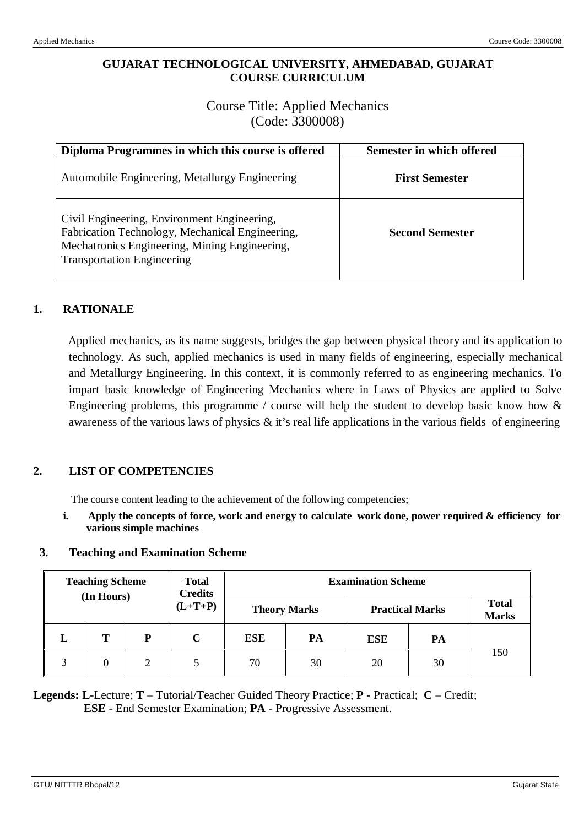## **GUJARAT TECHNOLOGICAL UNIVERSITY, AHMEDABAD, GUJARAT COURSE CURRICULUM**

# Course Title: Applied Mechanics (Code: 3300008)

| Diploma Programmes in which this course is offered                                                                                                                                   | Semester in which offered |
|--------------------------------------------------------------------------------------------------------------------------------------------------------------------------------------|---------------------------|
| Automobile Engineering, Metallurgy Engineering                                                                                                                                       | <b>First Semester</b>     |
| Civil Engineering, Environment Engineering,<br>Fabrication Technology, Mechanical Engineering,<br>Mechatronics Engineering, Mining Engineering,<br><b>Transportation Engineering</b> | <b>Second Semester</b>    |

# **1. RATIONALE**

Applied mechanics, as its name suggests, bridges the gap between physical theory and its application to technology. As such, applied mechanics is used in many fields of engineering, especially mechanical and Metallurgy Engineering. In this context, it is commonly referred to as engineering mechanics. To impart basic knowledge of Engineering Mechanics where in Laws of Physics are applied to Solve Engineering problems, this programme / course will help the student to develop basic know how  $\&$ awareness of the various laws of physics  $\&$  it's real life applications in the various fields of engineering

## **2. LIST OF COMPETENCIES**

The course content leading to the achievement of the following competencies;

**i. Apply the concepts of force, work and energy to calculate work done, power required & efficiency for various simple machines**

#### **3. Teaching and Examination Scheme**

| <b>Teaching Scheme</b><br>(In Hours) |   | <b>Total</b><br><b>Credits</b> | <b>Examination Scheme</b> |            |    |            |    |                        |                              |
|--------------------------------------|---|--------------------------------|---------------------------|------------|----|------------|----|------------------------|------------------------------|
|                                      |   | $(L+T+P)$                      | <b>Theory Marks</b>       |            |    |            |    | <b>Practical Marks</b> | <b>Total</b><br><b>Marks</b> |
| L                                    | Т | P                              | C                         | <b>ESE</b> | PA | <b>ESE</b> | PA |                        |                              |
| 3                                    |   | 2                              |                           | 70         | 30 | 20         | 30 | 150                    |                              |

**Legends: L**-Lecture; **T** – Tutorial/Teacher Guided Theory Practice; **P** - Practical; **C** – Credit; **ESE** - End Semester Examination; **PA** - Progressive Assessment.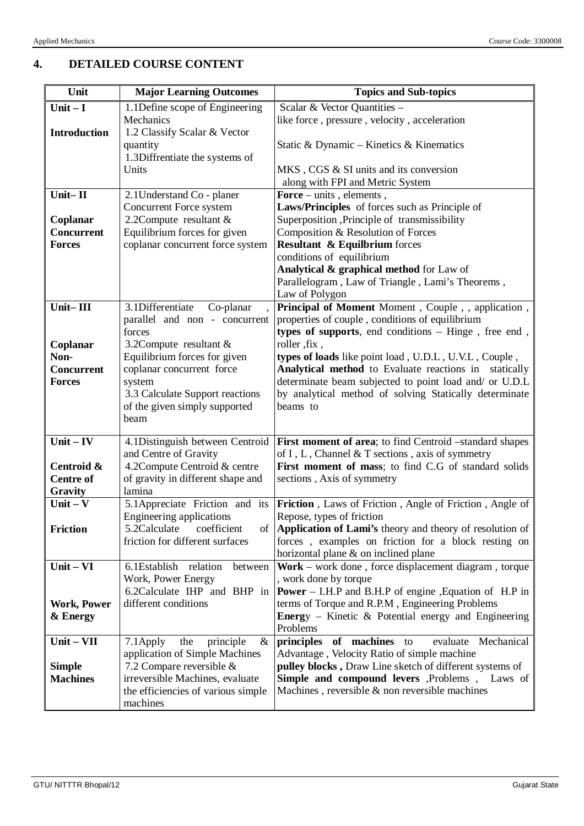# **4. DETAILED COURSE CONTENT**

| Unit                  | <b>Major Learning Outcomes</b>                                 | <b>Topics and Sub-topics</b>                                                                          |
|-----------------------|----------------------------------------------------------------|-------------------------------------------------------------------------------------------------------|
| Unit $-I$             | 1.1 Define scope of Engineering                                | Scalar & Vector Quantities -                                                                          |
|                       | Mechanics                                                      | like force, pressure, velocity, acceleration                                                          |
| <b>Introduction</b>   | 1.2 Classify Scalar & Vector                                   |                                                                                                       |
|                       | quantity                                                       | Static & Dynamic – Kinetics & Kinematics                                                              |
|                       | 1.3Diffrentiate the systems of                                 |                                                                                                       |
|                       | Units                                                          | MKS, CGS & SI units and its conversion                                                                |
|                       |                                                                | along with FPI and Metric System                                                                      |
| Unit- $II$            | 2.1 Understand Co - planer                                     | Force $-$ units, elements,                                                                            |
|                       | Concurrent Force system                                        | Laws/Principles of forces such as Principle of                                                        |
| Coplanar              | 2.2Compute resultant &                                         | Superposition , Principle of transmissibility                                                         |
| <b>Concurrent</b>     | Equilibrium forces for given                                   | Composition & Resolution of Forces                                                                    |
| <b>Forces</b>         | coplanar concurrent force system                               | <b>Resultant &amp; Equilbrium</b> forces                                                              |
|                       |                                                                | conditions of equilibrium                                                                             |
|                       |                                                                | Analytical & graphical method for Law of                                                              |
|                       |                                                                | Parallelogram, Law of Triangle, Lami's Theorems,                                                      |
| Unit-III              |                                                                | Law of Polygon                                                                                        |
|                       | 3.1Differentiate<br>Co-planar<br>parallel and non - concurrent | Principal of Moment Moment, Couple, , application,<br>properties of couple, conditions of equilibrium |
|                       | forces                                                         | types of supports, end conditions - Hinge, free end,                                                  |
| Coplanar              | 3.2Compute resultant &                                         | roller, fix,                                                                                          |
| Non-                  | Equilibrium forces for given                                   | types of loads like point load, U.D.L, U.V.L, Couple,                                                 |
| <b>Concurrent</b>     | coplanar concurrent force                                      | Analytical method to Evaluate reactions in statically                                                 |
| <b>Forces</b>         | system                                                         | determinate beam subjected to point load and/ or U.D.L                                                |
|                       | 3.3 Calculate Support reactions                                | by analytical method of solving Statically determinate                                                |
|                       | of the given simply supported                                  | beams to                                                                                              |
|                       | beam                                                           |                                                                                                       |
|                       |                                                                |                                                                                                       |
| $Unit - IV$           |                                                                | 4.1Distinguish between Centroid   First moment of area; to find Centroid -standard shapes             |
|                       | and Centre of Gravity                                          | of I, L, Channel & T sections, axis of symmetry                                                       |
| Centroid &            | 4.2Compute Centroid & centre                                   | First moment of mass; to find C.G of standard solids                                                  |
| <b>Centre of</b>      | of gravity in different shape and<br>lamina                    | sections, Axis of symmetry                                                                            |
| Gravity<br>Unit $-$ V | 5.1 Appreciate Friction and its                                | Friction, Laws of Friction, Angle of Friction, Angle of                                               |
|                       | Engineering applications                                       | Repose, types of friction                                                                             |
| <b>Friction</b>       | 5.2Calculate<br>coefficient                                    | of   Application of Lami's theory and theory of resolution of                                         |
|                       | friction for different surfaces                                | forces, examples on friction for a block resting on                                                   |
|                       |                                                                | horizontal plane & on inclined plane                                                                  |
| Unit-VI               | 6.1Establish relation<br>between                               | Work – work done, force displacement diagram, torque                                                  |
|                       | Work, Power Energy                                             | , work done by torque                                                                                 |
|                       | 6.2 Calculate IHP and BHP in                                   | <b>Power</b> – I.H.P and B.H.P of engine , Equation of H.P in                                         |
| <b>Work, Power</b>    | different conditions                                           | terms of Torque and R.P.M, Engineering Problems                                                       |
| & Energy              |                                                                | Energy - Kinetic & Potential energy and Engineering                                                   |
|                       |                                                                | Problems                                                                                              |
| Unit - VII            | the<br>principle<br>$\&$<br>7.1 Apply                          | principles of machines to<br>evaluate Mechanical                                                      |
|                       | application of Simple Machines                                 | Advantage, Velocity Ratio of simple machine                                                           |
| <b>Simple</b>         | 7.2 Compare reversible $\&$                                    | pulley blocks, Draw Line sketch of different systems of                                               |
| <b>Machines</b>       | irreversible Machines, evaluate                                | Simple and compound levers , Problems , Laws of                                                       |
|                       | the efficiencies of various simple                             | Machines, reversible $\&$ non reversible machines                                                     |
|                       | machines                                                       |                                                                                                       |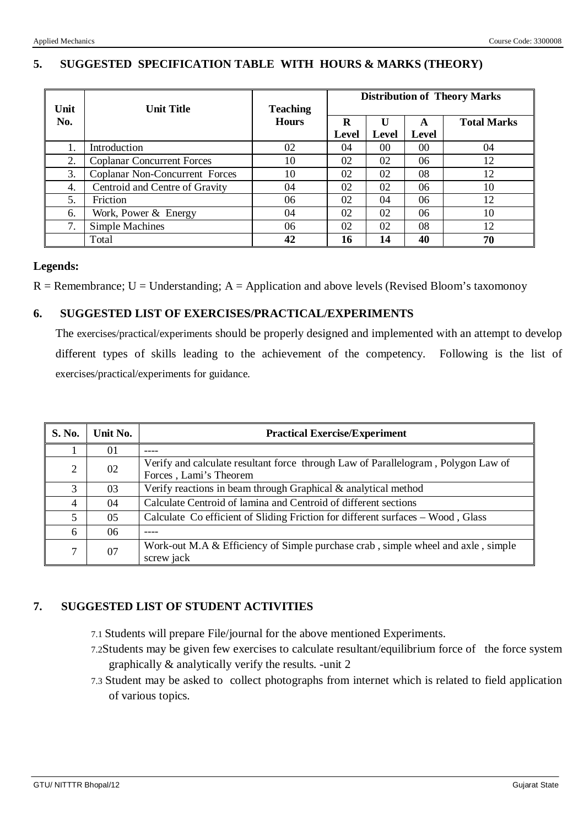|             |                                   |                                 | <b>Distribution of Theory Marks</b> |            |            |                    |  |
|-------------|-----------------------------------|---------------------------------|-------------------------------------|------------|------------|--------------------|--|
| Unit<br>No. | <b>Unit Title</b>                 | <b>Teaching</b><br><b>Hours</b> | R<br>Level                          | U<br>Level | A<br>Level | <b>Total Marks</b> |  |
| 1.          | Introduction                      | 02                              | 04                                  | 00         | 00         | 04                 |  |
| 2.          | <b>Coplanar Concurrent Forces</b> | 10                              | 02                                  | 02         | 06         | 12                 |  |
| 3.          | Coplanar Non-Concurrent Forces    | 10                              | 02                                  | 02         | 08         | 12                 |  |
| 4.          | Centroid and Centre of Gravity    | 04                              | 02                                  | 02         | 06         | 10                 |  |
| 5.          | Friction                          | 06                              | 02                                  | 04         | 06         | 12                 |  |
| 6.          | Work, Power $&$ Energy            | 04                              | 02                                  | 02         | 06         | 10                 |  |
| 7.          | Simple Machines                   | 06                              | 02                                  | 02         | 08         | 12                 |  |
|             | Total                             | 42                              | 16                                  | 14         | 40         | 70                 |  |

## **5. SUGGESTED SPECIFICATION TABLE WITH HOURS & MARKS (THEORY)**

### **Legends:**

 $R =$  Remembrance; U = Understanding; A = Application and above levels (Revised Bloom's taxomonoy

## **6. SUGGESTED LIST OF EXERCISES/PRACTICAL/EXPERIMENTS**

The exercises/practical/experiments should be properly designed and implemented with an attempt to develop different types of skills leading to the achievement of the competency. Following is the list of exercises/practical/experiments for guidance.

| S. No.         | Unit No. | <b>Practical Exercise/Experiment</b>                                                                        |  |  |
|----------------|----------|-------------------------------------------------------------------------------------------------------------|--|--|
|                | 01       | ----                                                                                                        |  |  |
| $\overline{2}$ | 02       | Verify and calculate resultant force through Law of Parallelogram, Polygon Law of<br>Forces, Lami's Theorem |  |  |
| 3              | 03       | Verify reactions in beam through Graphical & analytical method                                              |  |  |
| $\overline{4}$ | 04       | Calculate Centroid of lamina and Centroid of different sections                                             |  |  |
| 5              | 05       | Calculate Co efficient of Sliding Friction for different surfaces – Wood, Glass                             |  |  |
| 6              | 06       |                                                                                                             |  |  |
| 7              | 07       | Work-out M.A & Efficiency of Simple purchase crab, simple wheel and axle, simple<br>screw jack              |  |  |

### **7. SUGGESTED LIST OF STUDENT ACTIVITIES**

- 7.1 Students will prepare File/journal for the above mentioned Experiments.
- 7.2Students may be given few exercises to calculate resultant/equilibrium force of the force system graphically & analytically verify the results. -unit 2
- 7.3 Student may be asked to collect photographs from internet which is related to field application of various topics.